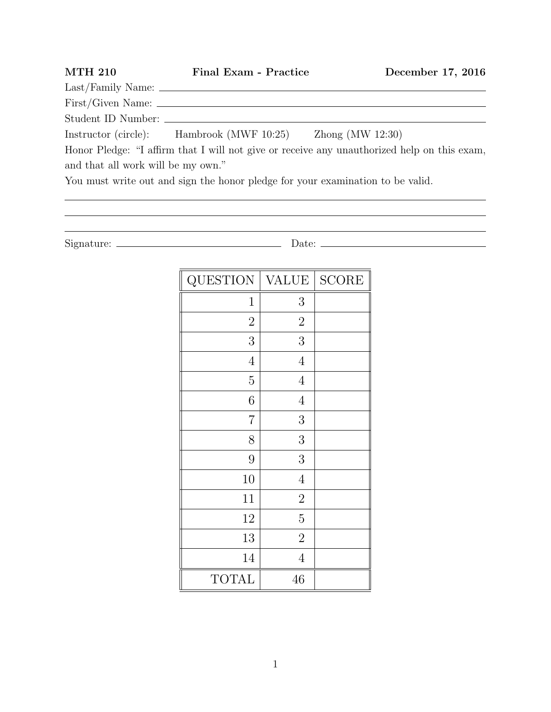| <b>MTH 210</b>                     | <b>Final Exam - Practice</b>                                                   | December 17, 2016                                                                           |
|------------------------------------|--------------------------------------------------------------------------------|---------------------------------------------------------------------------------------------|
| Last/Family Name:                  |                                                                                |                                                                                             |
|                                    |                                                                                |                                                                                             |
|                                    |                                                                                |                                                                                             |
|                                    | Instructor (circle): Hambrook (MWF 10:25) Zhong (MW 12:30)                     |                                                                                             |
|                                    |                                                                                | Honor Pledge: "I affirm that I will not give or receive any unauthorized help on this exam, |
| and that all work will be my own." |                                                                                |                                                                                             |
|                                    | You must write out and sign the honor pledge for your examination to be valid. |                                                                                             |
|                                    |                                                                                |                                                                                             |

<u> 1989 - Johann Stoff, amerikansk politiker (d. 1989)</u>

Signature: Date:

<u> 1989 - Johann Stoff, deutscher Stoffen und der Stoffen und der Stoffen und der Stoffen und der Stoffen und der</u>

| QUESTION       | <b>VALUE</b>   | <b>SCORE</b> |
|----------------|----------------|--------------|
| $\mathbf 1$    | 3              |              |
| $\overline{2}$ | $\sqrt{2}$     |              |
| 3              | 3              |              |
| $\overline{4}$ | $\overline{4}$ |              |
| $\overline{5}$ | $\overline{4}$ |              |
| 6              | $\overline{4}$ |              |
| $\overline{7}$ | 3              |              |
| 8              | 3              |              |
| 9              | 3              |              |
| 10             | $\overline{4}$ |              |
| 11             | $\overline{2}$ |              |
| 12             | $\mathbf 5$    |              |
| 13             | $\sqrt{2}$     |              |
| 14             | $\overline{4}$ |              |
| <b>TOTAL</b>   | 46             |              |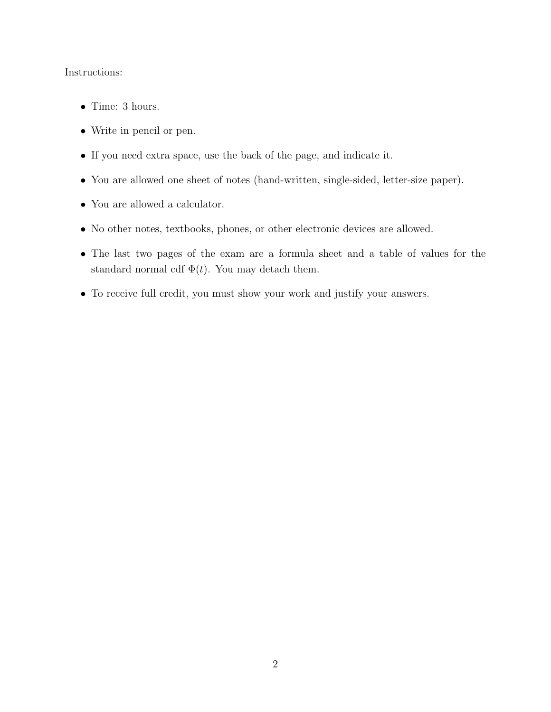### Instructions:

- Time: 3 hours.
- Write in pencil or pen.
- If you need extra space, use the back of the page, and indicate it.
- You are allowed one sheet of notes (hand-written, single-sided, letter-size paper).
- You are allowed a calculator.
- No other notes, textbooks, phones, or other electronic devices are allowed.
- The last two pages of the exam are a formula sheet and a table of values for the standard normal cdf  $\Phi(t)$ . You may detach them.
- To receive full credit, you must show your work and justify your answers.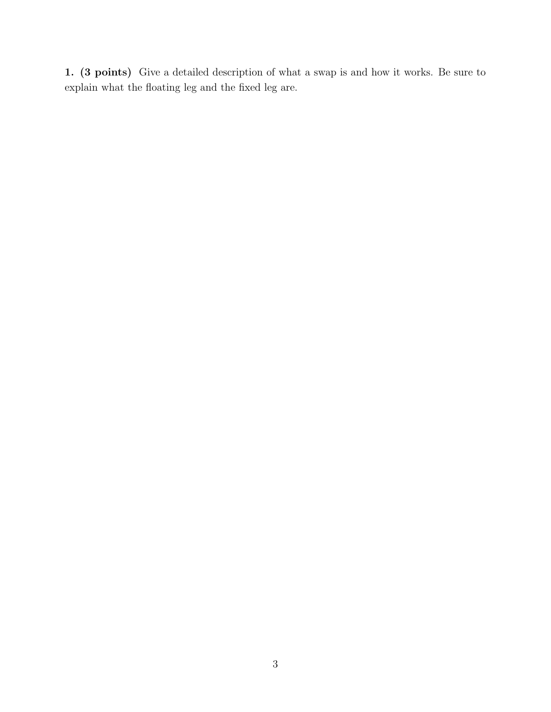1. (3 points) Give a detailed description of what a swap is and how it works. Be sure to explain what the floating leg and the fixed leg are.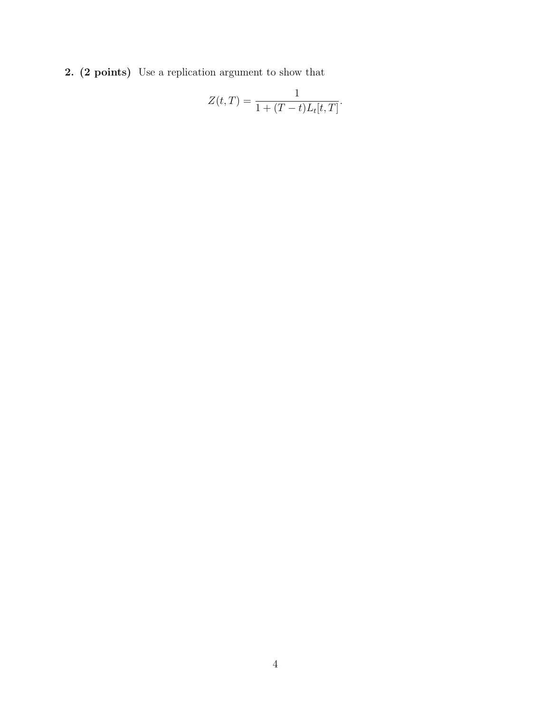2. (2 points) Use a replication argument to show that

$$
Z(t,T) = \frac{1}{1 + (T - t)L_t[t,T]}.
$$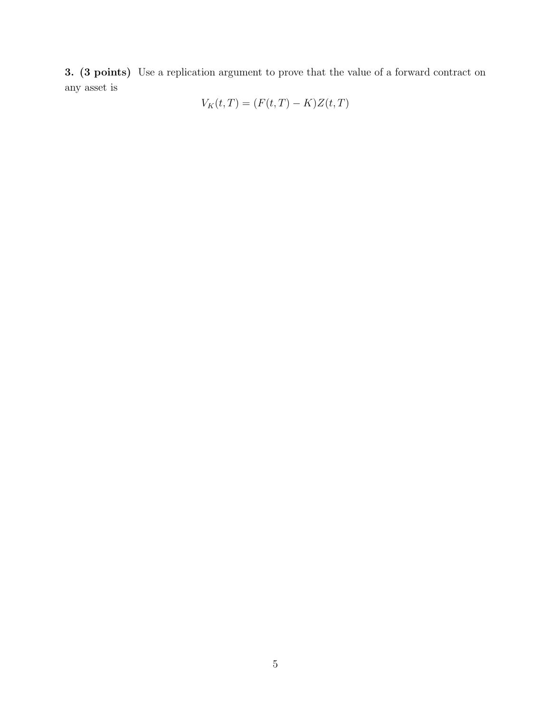3. (3 points) Use a replication argument to prove that the value of a forward contract on any asset is

$$
V_K(t,T) = (F(t,T) - K)Z(t,T)
$$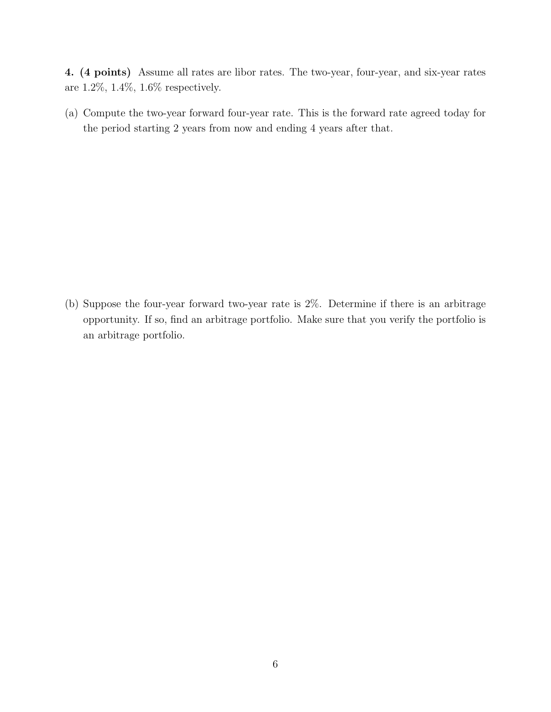4. (4 points) Assume all rates are libor rates. The two-year, four-year, and six-year rates are 1.2%, 1.4%, 1.6% respectively.

(a) Compute the two-year forward four-year rate. This is the forward rate agreed today for the period starting 2 years from now and ending 4 years after that.

(b) Suppose the four-year forward two-year rate is 2%. Determine if there is an arbitrage opportunity. If so, find an arbitrage portfolio. Make sure that you verify the portfolio is an arbitrage portfolio.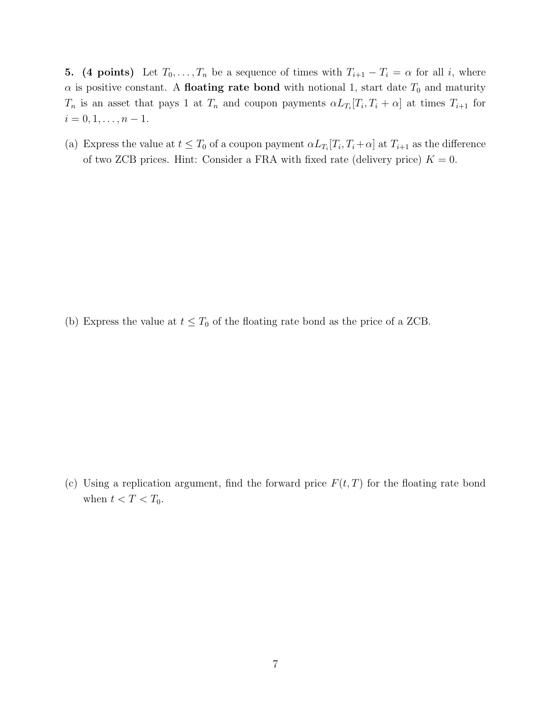5. (4 points) Let  $T_0, \ldots, T_n$  be a sequence of times with  $T_{i+1} - T_i = \alpha$  for all i, where  $\alpha$  is positive constant. A floating rate bond with notional 1, start date  $T_0$  and maturity  $T_n$  is an asset that pays 1 at  $T_n$  and coupon payments  $\alpha L_{T_i}[T_i, T_i + \alpha]$  at times  $T_{i+1}$  for  $i = 0, 1, \ldots, n - 1.$ 

(a) Express the value at  $t \leq T_0$  of a coupon payment  $\alpha L_{T_i}[T_i, T_i + \alpha]$  at  $T_{i+1}$  as the difference of two ZCB prices. Hint: Consider a FRA with fixed rate (delivery price)  $K = 0$ .

(b) Express the value at  $t \leq T_0$  of the floating rate bond as the price of a ZCB.

(c) Using a replication argument, find the forward price  $F(t, T)$  for the floating rate bond when  $t < T < T_0$ .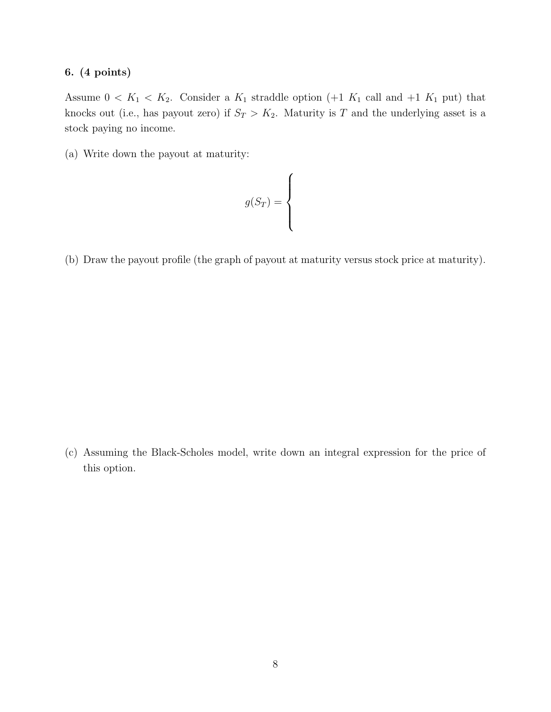#### 6. (4 points)

Assume  $0 < K_1 < K_2$ . Consider a  $K_1$  straddle option  $(+1 K_1 \text{ call and } +1 K_1 \text{ put})$  that knocks out (i.e., has payout zero) if  $S_T > K_2$ . Maturity is T and the underlying asset is a stock paying no income.

(a) Write down the payout at maturity:

$$
g(S_T) = \left\{\rule{0cm}{1.25cm}\right.
$$

(b) Draw the payout profile (the graph of payout at maturity versus stock price at maturity).

(c) Assuming the Black-Scholes model, write down an integral expression for the price of this option.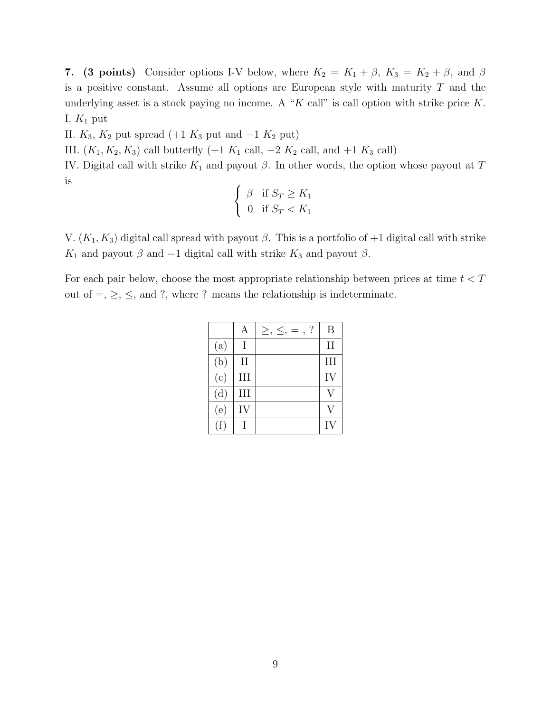7. (3 points) Consider options I-V below, where  $K_2 = K_1 + \beta$ ,  $K_3 = K_2 + \beta$ , and  $\beta$ is a positive constant. Assume all options are European style with maturity T and the underlying asset is a stock paying no income. A "K call" is call option with strike price  $K$ . I.  $K_1$  put

II.  $K_3$ ,  $K_2$  put spread (+1  $K_3$  put and −1  $K_2$  put)

III.  $(K_1, K_2, K_3)$  call butterfly  $(+1 K_1 \text{ call}, -2 K_2 \text{ call}, \text{ and } +1 K_3 \text{ call})$ 

IV. Digital call with strike  $K_1$  and payout  $\beta$ . In other words, the option whose payout at T is

$$
\begin{cases} \beta & \text{if } S_T \geq K_1 \\ 0 & \text{if } S_T < K_1 \end{cases}
$$

V.  $(K_1, K_3)$  digital call spread with payout  $\beta$ . This is a portfolio of +1 digital call with strike  $K_1$  and payout  $\beta$  and  $-1$  digital call with strike  $K_3$  and payout  $\beta$ .

For each pair below, choose the most appropriate relationship between prices at time  $t < T$ out of  $=$ ,  $\geq$ ,  $\leq$ , and ?, where ? means the relationship is indeterminate.

|     | А        | $\cdot$<br>$\geq, \leq, =$ | B        |
|-----|----------|----------------------------|----------|
| (a) | T        |                            | $\rm II$ |
| (b) | $\rm II$ |                            | III      |
| (c) | III      |                            | IV       |
| (d) | III      |                            |          |
| (e) | IV       |                            |          |
| (f) |          |                            | IV       |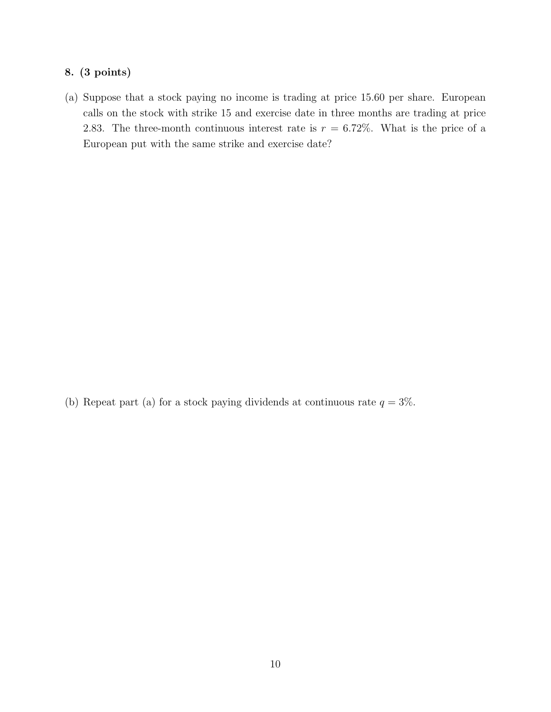# 8. (3 points)

(a) Suppose that a stock paying no income is trading at price 15.60 per share. European calls on the stock with strike 15 and exercise date in three months are trading at price 2.83. The three-month continuous interest rate is  $r = 6.72\%$ . What is the price of a European put with the same strike and exercise date?

(b) Repeat part (a) for a stock paying dividends at continuous rate  $q = 3\%$ .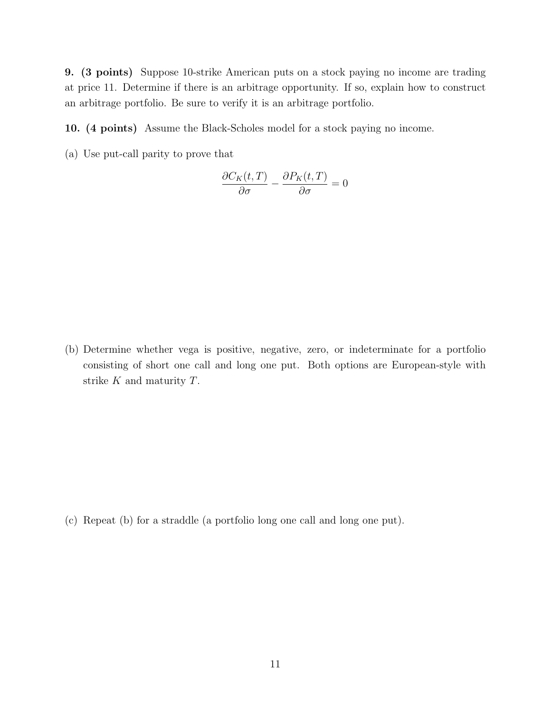9. (3 points) Suppose 10-strike American puts on a stock paying no income are trading at price 11. Determine if there is an arbitrage opportunity. If so, explain how to construct an arbitrage portfolio. Be sure to verify it is an arbitrage portfolio.

10. (4 points) Assume the Black-Scholes model for a stock paying no income.

(a) Use put-call parity to prove that

$$
\frac{\partial C_K(t,T)}{\partial \sigma} - \frac{\partial P_K(t,T)}{\partial \sigma} = 0
$$

(b) Determine whether vega is positive, negative, zero, or indeterminate for a portfolio consisting of short one call and long one put. Both options are European-style with strike  $K$  and maturity  $T$ .

(c) Repeat (b) for a straddle (a portfolio long one call and long one put).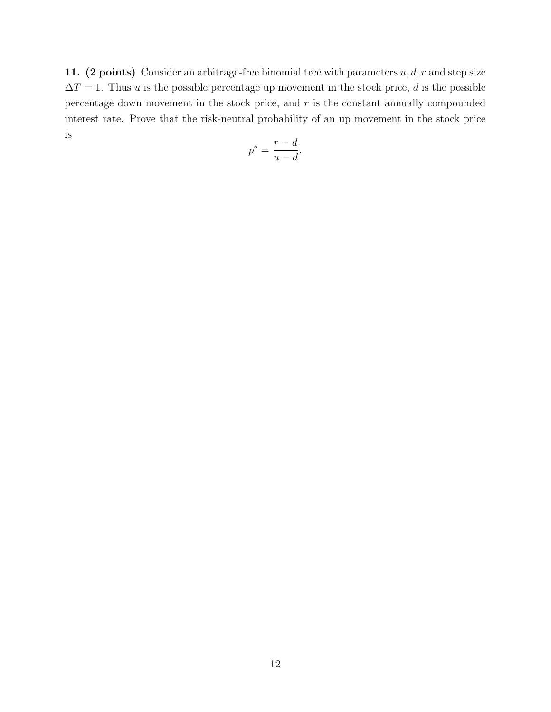11. (2 points) Consider an arbitrage-free binomial tree with parameters  $u, d, r$  and step size  $\Delta T = 1$ . Thus u is the possible percentage up movement in the stock price, d is the possible percentage down movement in the stock price, and  $r$  is the constant annually compounded interest rate. Prove that the risk-neutral probability of an up movement in the stock price is

$$
p^* = \frac{r - d}{u - d}.
$$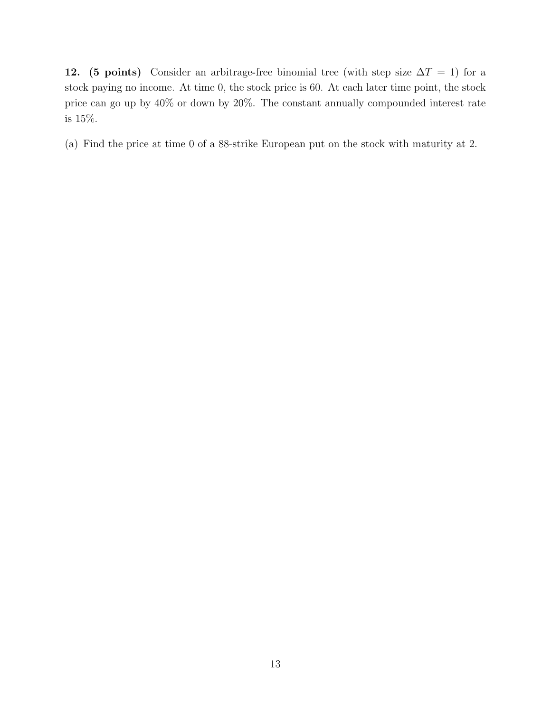12. (5 points) Consider an arbitrage-free binomial tree (with step size  $\Delta T = 1$ ) for a stock paying no income. At time 0, the stock price is 60. At each later time point, the stock price can go up by 40% or down by 20%. The constant annually compounded interest rate is 15%.

(a) Find the price at time 0 of a 88-strike European put on the stock with maturity at 2.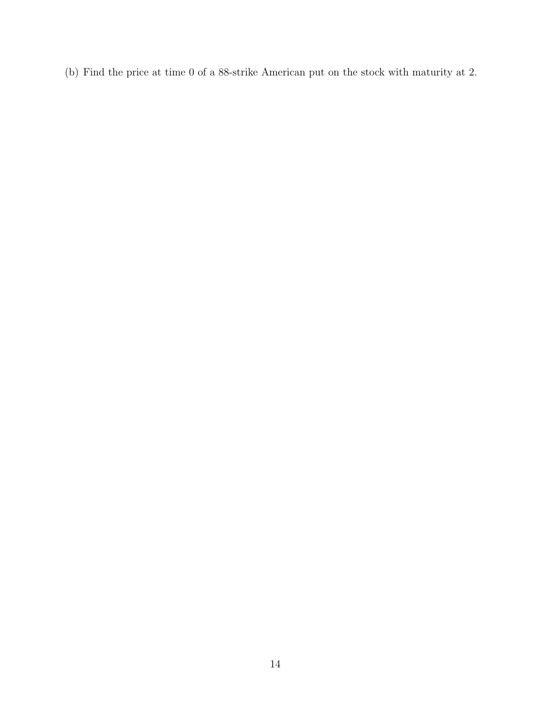(b) Find the price at time 0 of a 88-strike American put on the stock with maturity at 2.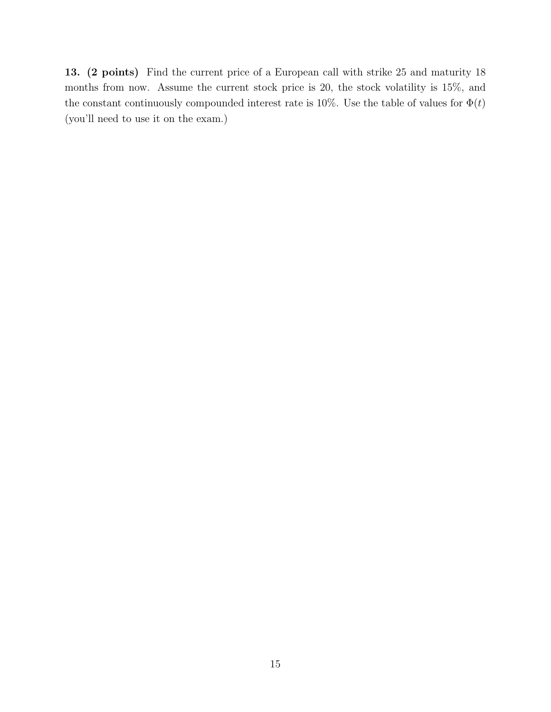13. (2 points) Find the current price of a European call with strike 25 and maturity 18 months from now. Assume the current stock price is 20, the stock volatility is 15%, and the constant continuously compounded interest rate is 10%. Use the table of values for  $\Phi(t)$ (you'll need to use it on the exam.)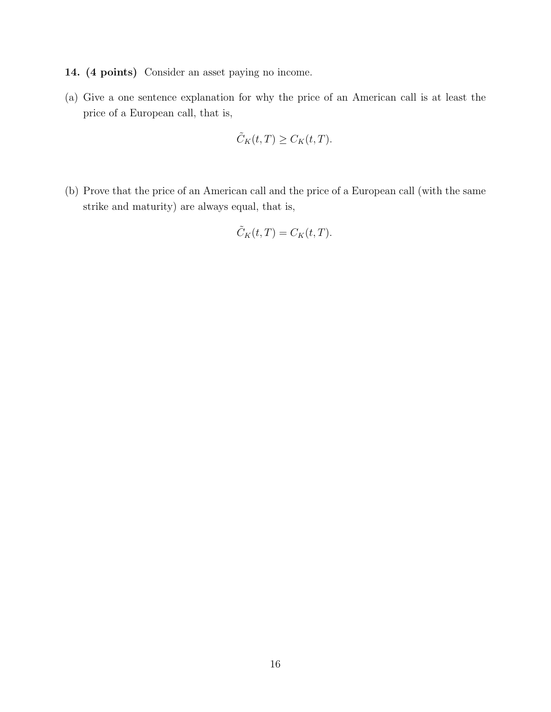- 14. (4 points) Consider an asset paying no income.
- (a) Give a one sentence explanation for why the price of an American call is at least the price of a European call, that is,

$$
\tilde{C}_K(t,T) \ge C_K(t,T).
$$

(b) Prove that the price of an American call and the price of a European call (with the same strike and maturity) are always equal, that is,

$$
\tilde{C}_K(t,T) = C_K(t,T).
$$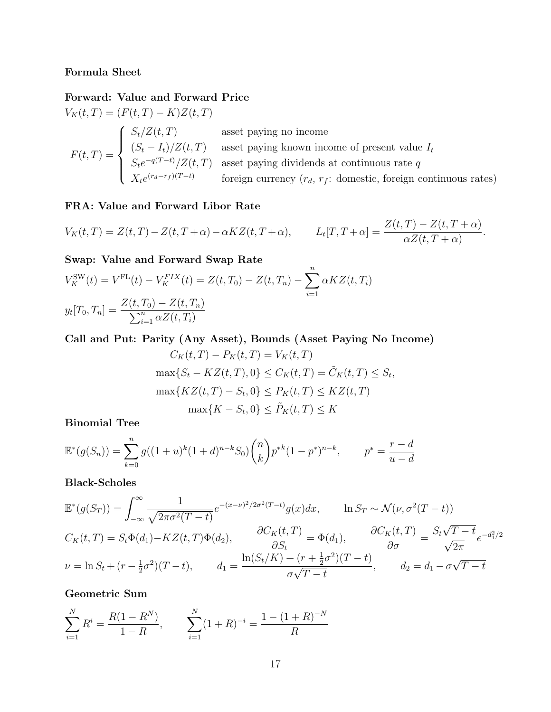#### Formula Sheet

## Forward: Value and Forward Price

$$
V_K(t,T) = (F(t,T) - K)Z(t,T)
$$
  
\n
$$
F(t,T) = \begin{cases} S_t/Z(t,T) & \text{asset paying no income} \\ (S_t - I_t)/Z(t,T) & \text{asset paying known income of present value } I_t \\ S_t e^{-q(T-t)}/Z(t,T) & \text{asset paying dividends at continuous rate } q \\ X_t e^{(r_d - r_f)(T-t)} & \text{foreign currency } (r_d, r_f: \text{domestic, foreign continuous rates)} \end{cases}
$$

## FRA: Value and Forward Libor Rate

$$
V_K(t,T) = Z(t,T) - Z(t,T+\alpha) - \alpha K Z(t,T+\alpha), \qquad L_t[T,T+\alpha] = \frac{Z(t,T) - Z(t,T+\alpha)}{\alpha Z(t,T+\alpha)}.
$$

# Swap: Value and Forward Swap Rate

$$
V_K^{\text{SW}}(t) = V^{\text{FL}}(t) - V_K^{\text{FIX}}(t) = Z(t, T_0) - Z(t, T_n) - \sum_{i=1}^n \alpha K Z(t, T_i)
$$

$$
y_t[T_0, T_n] = \frac{Z(t, T_0) - Z(t, T_n)}{\sum_{i=1}^n \alpha Z(t, T_i)}
$$

Call and Put: Parity (Any Asset), Bounds (Asset Paying No Income)

$$
C_K(t,T) - P_K(t,T) = V_K(t,T)
$$
  

$$
\max\{S_t - KZ(t,T), 0\} \le C_K(t,T) = \tilde{C}_K(t,T) \le S_t,
$$
  

$$
\max\{KZ(t,T) - S_t, 0\} \le P_K(t,T) \le KZ(t,T)
$$
  

$$
\max\{K - S_t, 0\} \le \tilde{P}_K(t,T) \le K
$$

Binomial Tree

$$
\mathbb{E}^*(g(S_n)) = \sum_{k=0}^n g((1+u)^k (1+d)^{n-k} S_0) \binom{n}{k} p^{*k} (1-p^*)^{n-k}, \qquad p^* = \frac{r-d}{u-d}
$$

#### Black-Scholes

$$
\mathbb{E}^*(g(S_T)) = \int_{-\infty}^{\infty} \frac{1}{\sqrt{2\pi\sigma^2(T-t)}} e^{-(x-\nu)^2/2\sigma^2(T-t)} g(x) dx, \qquad \ln S_T \sim \mathcal{N}(\nu, \sigma^2(T-t))
$$
  
\n
$$
C_K(t,T) = S_t \Phi(d_1) - KZ(t,T) \Phi(d_2), \qquad \frac{\partial C_K(t,T)}{\partial S_t} = \Phi(d_1), \qquad \frac{\partial C_K(t,T)}{\partial \sigma} = \frac{S_t \sqrt{T-t}}{\sqrt{2\pi}} e^{-d_1^2/2}
$$
  
\n
$$
\nu = \ln S_t + (r - \frac{1}{2}\sigma^2)(T-t), \qquad d_1 = \frac{\ln(S_t/K) + (r + \frac{1}{2}\sigma^2)(T-t)}{\sigma\sqrt{T-t}}, \qquad d_2 = d_1 - \sigma\sqrt{T-t}
$$

Geometric Sum

$$
\sum_{i=1}^{N} R^{i} = \frac{R(1 - R^{N})}{1 - R}, \qquad \sum_{i=1}^{N} (1 + R)^{-i} = \frac{1 - (1 + R)^{-N}}{R}
$$